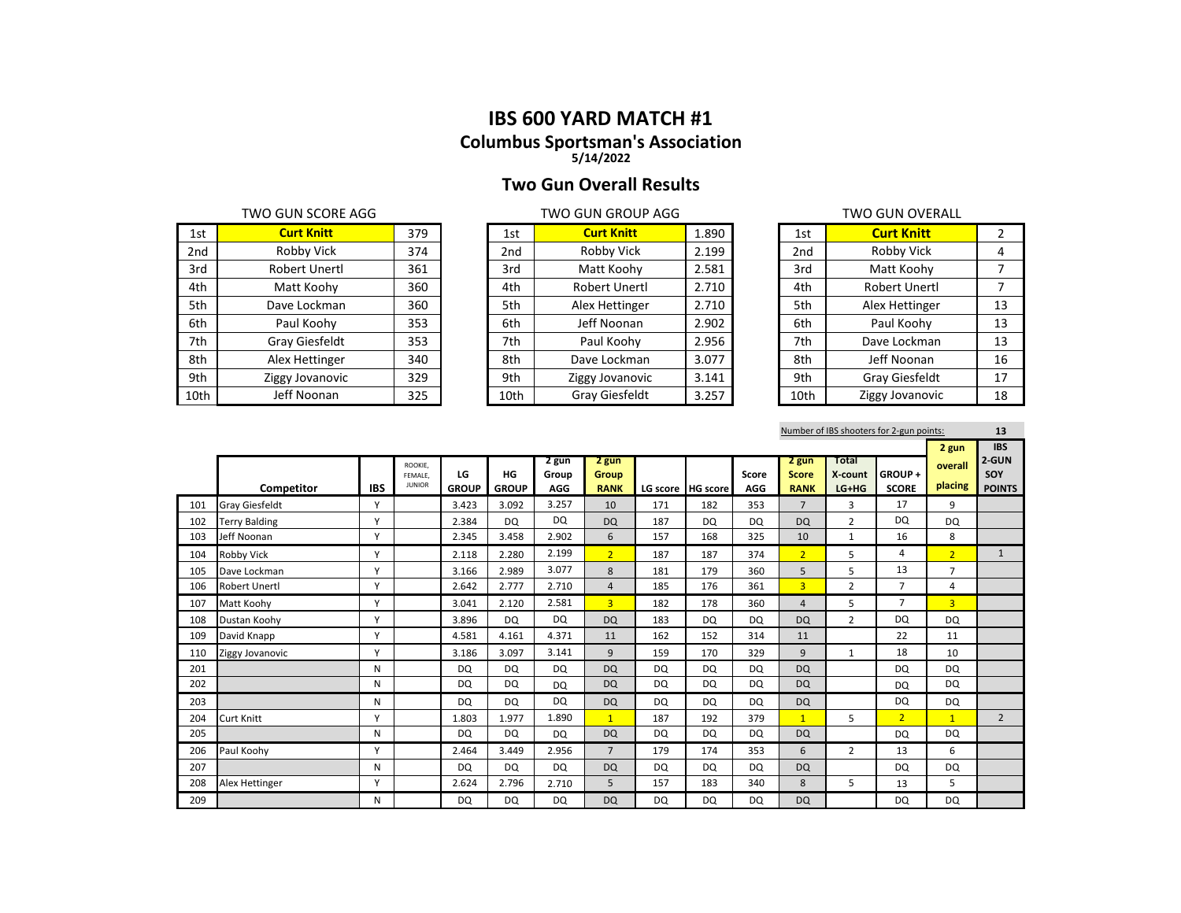## **Two Gun Overall Results**

|                 | TWO GUN SCORE AGG     |     |
|-----------------|-----------------------|-----|
| 1st             | <b>Curt Knitt</b>     | 379 |
| 2 <sub>nd</sub> | Robby Vick            | 374 |
| 3rd             | <b>Robert Unertl</b>  | 361 |
| 4th             | Matt Koohy            | 360 |
| 5th             | Dave Lockman          | 360 |
| 6th             | Paul Koohy            | 353 |
| 7th             | <b>Gray Giesfeldt</b> | 353 |
| 8th             | Alex Hettinger        | 340 |
| 9th             | Ziggy Jovanovic       | 329 |
| 10th            | Jeff Noonan           | 325 |

|      | TWO GUN SCORE AGG |     |      | TWO GUN GROUP AGG | <b>TWO GUN OVERALL</b> |  |                 |                   |    |
|------|-------------------|-----|------|-------------------|------------------------|--|-----------------|-------------------|----|
| 1st  | <b>Curt Knitt</b> | 379 | 1st  | <b>Curt Knitt</b> | 1.890                  |  | 1st             | <b>Curt Knitt</b> |    |
| 2nd  | Robby Vick        | 374 | 2nd  | Robby Vick        | 2.199                  |  | 2 <sub>nd</sub> | Robby Vick        | 4  |
| 3rd  | Robert Unertl     | 361 | 3rd  | Matt Koohy        | 2.581                  |  | 3rd             | Matt Koohy        |    |
| 4th  | Matt Koohy        | 360 | 4th  | Robert Unertl     | 2.710                  |  | 4th             | Robert Unertl     |    |
| 5th  | Dave Lockman      | 360 | 5th  | Alex Hettinger    | 2.710                  |  | 5th             | Alex Hettinger    | 13 |
| 6th  | Paul Koohy        | 353 | 6th  | Jeff Noonan       | 2.902                  |  | 6th             | Paul Koohy        | 13 |
| 7th  | Gray Giesfeldt    | 353 | 7th  | Paul Koohy        | 2.956                  |  | 7th             | Dave Lockman      | 13 |
| 8th  | Alex Hettinger    | 340 | 8th  | Dave Lockman      | 3.077                  |  | 8th             | Jeff Noonan       | 16 |
| 9th  | Ziggy Jovanovic   | 329 | 9th  | Ziggy Jovanovic   | 3.141                  |  | 9th             | Gray Giesfeldt    | 17 |
| 10th | Jeff Noonan       | 325 | 10th | Gray Giesfeldt    | 3.257                  |  | 10th            | Ziggy Jovanovic   | 18 |

| TWO GUN OVERALL |                       |    |  |  |  |  |  |  |  |  |
|-----------------|-----------------------|----|--|--|--|--|--|--|--|--|
| 1st             | <b>Curt Knitt</b>     | 2  |  |  |  |  |  |  |  |  |
| 2 <sub>nd</sub> | Robby Vick            | 4  |  |  |  |  |  |  |  |  |
| 3rd             | Matt Koohy            | 7  |  |  |  |  |  |  |  |  |
| 4th             | Robert Unertl         | 7  |  |  |  |  |  |  |  |  |
| 5th             | Alex Hettinger        | 13 |  |  |  |  |  |  |  |  |
| 6th             | Paul Koohy            | 13 |  |  |  |  |  |  |  |  |
| 7th             | Dave Lockman          | 13 |  |  |  |  |  |  |  |  |
| 8th             | Jeff Noonan           | 16 |  |  |  |  |  |  |  |  |
| 9th             | <b>Gray Giesfeldt</b> | 17 |  |  |  |  |  |  |  |  |
| 10th            | Ziggy Jovanovic       | 18 |  |  |  |  |  |  |  |  |

Number of IBS shooters for 2-gun points: **13**

|     |                       |              |                                     |                    |                    |                       |                               |           |                   |                     |                                      |                             |                        | 2 gun              | <b>IBS</b>                    |
|-----|-----------------------|--------------|-------------------------------------|--------------------|--------------------|-----------------------|-------------------------------|-----------|-------------------|---------------------|--------------------------------------|-----------------------------|------------------------|--------------------|-------------------------------|
|     | Competitor            | <b>IBS</b>   | ROOKIE.<br>FEMALE.<br><b>JUNIOR</b> | LG<br><b>GROUP</b> | HG<br><b>GROUP</b> | 2 gun<br>Group<br>AGG | 2 gun<br>Group<br><b>RANK</b> |           | LG score HG score | Score<br><b>AGG</b> | 2 gun<br><b>Score</b><br><b>RANK</b> | Total<br>X-count<br>$LG+HG$ | GROUP+<br><b>SCORE</b> | overall<br>placing | 2-GUN<br>SOY<br><b>POINTS</b> |
| 101 | <b>Gray Giesfeldt</b> | $\mathsf{v}$ |                                     | 3.423              | 3.092              | 3.257                 | 10                            | 171       | 182               | 353                 | $\overline{7}$                       | 3                           | 17                     | 9                  |                               |
| 102 | <b>Terry Balding</b>  | $\checkmark$ |                                     | 2.384              | <b>DQ</b>          | DQ                    | <b>DQ</b>                     | 187       | DQ                | DQ                  | <b>DQ</b>                            | $\overline{2}$              | <b>DQ</b>              | DQ                 |                               |
| 103 | Jeff Noonan           | $\mathsf{v}$ |                                     | 2.345              | 3.458              | 2.902                 | 6                             | 157       | 168               | 325                 | 10                                   | $\mathbf{1}$                | 16                     | 8                  |                               |
| 104 | <b>Robby Vick</b>     | $\checkmark$ |                                     | 2.118              | 2.280              | 2.199                 | 2 <sup>1</sup>                | 187       | 187               | 374                 | 2 <sup>1</sup>                       | 5                           | 4                      | $\overline{2}$     | $\mathbf{1}$                  |
| 105 | Dave Lockman          | $\checkmark$ |                                     | 3.166              | 2.989              | 3.077                 | 8                             | 181       | 179               | 360                 | 5                                    | 5                           | 13                     | $\overline{7}$     |                               |
| 106 | <b>Robert Unertl</b>  | $\mathsf{v}$ |                                     | 2.642              | 2.777              | 2.710                 | $\overline{4}$                | 185       | 176               | 361                 | $\overline{3}$                       | $\overline{2}$              | 7                      | $\overline{4}$     |                               |
| 107 | Matt Koohy            | $\mathsf{v}$ |                                     | 3.041              | 2.120              | 2.581                 | $\overline{3}$                | 182       | 178               | 360                 | $\overline{4}$                       | 5                           | $\overline{7}$         | $\overline{3}$     |                               |
| 108 | Dustan Koohv          | $\checkmark$ |                                     | 3.896              | <b>DQ</b>          | DQ                    | <b>DQ</b>                     | 183       | DQ                | DQ                  | <b>DQ</b>                            | $\overline{2}$              | DQ                     | DQ                 |                               |
| 109 | David Knapp           | Y            |                                     | 4.581              | 4.161              | 4.371                 | 11                            | 162       | 152               | 314                 | 11                                   |                             | 22                     | 11                 |                               |
| 110 | Ziggy Jovanovic       | $\mathsf{v}$ |                                     | 3.186              | 3.097              | 3.141                 | 9                             | 159       | 170               | 329                 | 9                                    | $\mathbf{1}$                | 18                     | 10                 |                               |
| 201 |                       | N            |                                     | <b>DQ</b>          | <b>DQ</b>          | DQ                    | <b>DQ</b>                     | <b>DQ</b> | DQ                | <b>DQ</b>           | <b>DQ</b>                            |                             | <b>DQ</b>              | <b>DQ</b>          |                               |
| 202 |                       | N            |                                     | DQ                 | <b>DQ</b>          | <b>DQ</b>             | <b>DQ</b>                     | <b>DQ</b> | DQ                | DQ                  | <b>DQ</b>                            |                             | <b>DQ</b>              | DQ                 |                               |
| 203 |                       | N            |                                     | DQ                 | <b>DQ</b>          | DQ                    | <b>DQ</b>                     | <b>DQ</b> | DQ                | DQ                  | <b>DQ</b>                            |                             | DQ                     | DQ                 |                               |
| 204 | <b>Curt Knitt</b>     | $\mathsf{v}$ |                                     | 1.803              | 1.977              | 1.890                 | $\mathbf{1}$                  | 187       | 192               | 379                 | $\mathbf{1}$                         | 5                           | 2 <sup>1</sup>         | $\overline{1}$     | $\overline{2}$                |
| 205 |                       | N            |                                     | <b>DQ</b>          | <b>DQ</b>          | <b>DQ</b>             | <b>DQ</b>                     | <b>DQ</b> | DQ                | DQ                  | <b>DQ</b>                            |                             | <b>DQ</b>              | DQ                 |                               |
| 206 | Paul Koohy            | Y            |                                     | 2.464              | 3.449              | 2.956                 | $7\overline{ }$               | 179       | 174               | 353                 | 6                                    | $\overline{2}$              | 13                     | 6                  |                               |
| 207 |                       | N            |                                     | <b>DQ</b>          | <b>DQ</b>          | DQ                    | <b>DQ</b>                     | <b>DQ</b> | DQ                | DQ                  | <b>DQ</b>                            |                             | <b>DQ</b>              | DQ                 |                               |
| 208 | <b>Alex Hettinger</b> | $\checkmark$ |                                     | 2.624              | 2.796              | 2.710                 | 5                             | 157       | 183               | 340                 | 8                                    | 5                           | 13                     | 5                  |                               |
| 209 |                       | N            |                                     | DQ                 | DQ                 | DQ                    | <b>DQ</b>                     | DQ        | DQ                | DQ                  | <b>DQ</b>                            |                             | DQ                     | DQ                 |                               |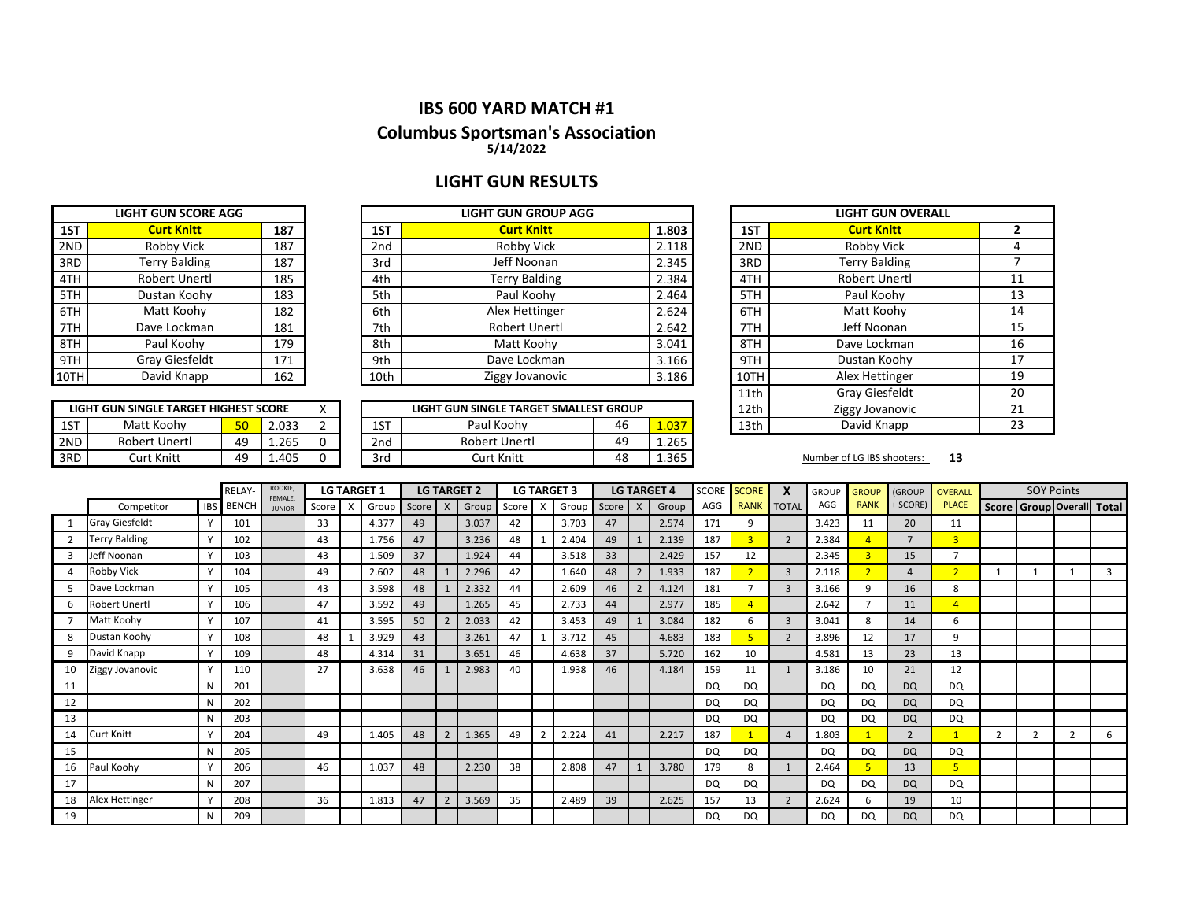### **IBS 600 YARD MATCH #1**

### **Columbus Sportsman's Association**

**5/14/2022**

## **LIGHT GUN RESULTS**

|     | <b>LIGHT GUN SCORE AGG</b> |     |
|-----|----------------------------|-----|
| 1ST | <b>Curt Knitt</b>          | 187 |
| 2ND | Robby Vick                 | 187 |
| 3RD | <b>Terry Balding</b>       | 187 |
| 4TH | <b>Robert Unertl</b>       | 185 |
| 5TH | Dustan Koohy               | 183 |
| 6TH | Matt Koohy                 | 182 |
| 7TH | Dave Lockman               | 181 |
| 8TH | Paul Koohy                 | 179 |
| 9TH | <b>Gray Giesfeldt</b>      | 171 |
| 10T | David Knapp                | 162 |

**LIGHT GUN SINGLE TARGET HIGHEST SCORE**<br>1ST | Matt Koohy | 50 | 2.03

|      | <b>LIGHT GUN SCORE AGG</b> |     |      | <b>LIGHT GUN GROUP AGG</b> |       | <b>LIGHT GUN OVERALL</b> |                      |  |  |
|------|----------------------------|-----|------|----------------------------|-------|--------------------------|----------------------|--|--|
| 1ST  | <b>Curt Knitt</b>          | 187 | 1ST  | <b>Curt Knitt</b>          | 1.803 | 1ST                      | <b>Curt Knitt</b>    |  |  |
| 2ND  | Robby Vick                 | 187 | 2nd  | Robby Vick                 | 2.118 | 2ND                      | Robby Vick           |  |  |
| 3RD  | <b>Terry Balding</b>       | 187 | 3rd  | Jeff Noonan                | 2.345 | 3RD                      | <b>Terry Balding</b> |  |  |
| 4TH  | Robert Unertl              | 185 | 4th  | Terry Balding              | 2.384 | 4TH                      | Robert Unertl        |  |  |
| 5TH  | Dustan Koohy               | 183 | 5th  | Paul Koohv                 | 2.464 | 5TH                      | Paul Koohy           |  |  |
| 6TH  | Matt Koohy                 | 182 | 6th  | Alex Hettinger             | 2.624 | 6TH                      | Matt Koohy           |  |  |
| 7TH  | Dave Lockman               | 181 | 7th  | Robert Unertl              | 2.642 | 7TH                      | Jeff Noonan          |  |  |
| 8TH  | Paul Koohy                 | 179 | 8th  | Matt Koohy                 | 3.041 | 8TH                      | Dave Lockman         |  |  |
| 9TH  | <b>Gray Giesfeldt</b>      | 171 | 9th  | Dave Lockman               | 3.166 | 9TH                      | Dustan Koohy         |  |  |
| 10TH | David Knapp                | 162 | 10th | Ziggy Jovanovic            | 3.186 | 10TH                     | Alex Hettinger       |  |  |

|     | LIGHT GUN SINGLE TARGET HIGHEST SCORE |    |       |                 | LIGHT GUN SINGLE TARGET SMALLEST GROUP |    |       | 12th | Ziggy Jovanovic            |    |
|-----|---------------------------------------|----|-------|-----------------|----------------------------------------|----|-------|------|----------------------------|----|
| 1ST | Matt Koohv                            |    | 2.033 | 1ST             | Paul Koohv                             | 46 | 1.037 | 13th | David Knapp                |    |
| 2ND | <b>Robert Unertl</b>                  | 49 | 1.265 | 2 <sub>nd</sub> | Robert Unertl                          | 49 | 1.265 |      |                            |    |
| 3RD | Curt Knitt                            | 49 | .405  | 3rd             | Curt Knitt                             | 48 | 1.365 |      | Number of LG IBS shooters: | 13 |

|      | <b>LIGHT GUN OVERALL</b> |    |
|------|--------------------------|----|
| 1ST  | <b>Curt Knitt</b>        | 2  |
| 2ND  | Robby Vick               | 4  |
| 3RD  | <b>Terry Balding</b>     | 7  |
| 4TH  | <b>Robert Unertl</b>     | 11 |
| 5TH  | Paul Koohy               | 13 |
| 6TH  | Matt Koohy               | 14 |
| 7TH  | Jeff Noonan              | 15 |
| 8TH  | Dave Lockman             | 16 |
| 9TH  | Dustan Koohy             | 17 |
| 10TH | Alex Hettinger           | 19 |
| 11th | <b>Gray Giesfeldt</b>    | 20 |
| 12th | Ziggy Jovanovic          | 21 |
| 13th | David Knapp              | 23 |

|    |                      | ROOKIE,<br><b>LG TARGET 1</b><br><b>LG TARGET 2</b><br><b>LG TARGET 3</b><br>RELAY-<br>FEMALE, |                  |               | <b>LG TARGET 4</b> | <b>SCORE</b> | <b>SCORE</b> | X     | <b>GROUP</b>   | <b>GROUP</b> | (GROUP  | <b>OVERALL</b> |       | <b>SOY Points</b> |       |     |                |                          |           |             |                |                |                |                                 |   |
|----|----------------------|------------------------------------------------------------------------------------------------|------------------|---------------|--------------------|--------------|--------------|-------|----------------|--------------|---------|----------------|-------|-------------------|-------|-----|----------------|--------------------------|-----------|-------------|----------------|----------------|----------------|---------------------------------|---|
|    | Competitor           |                                                                                                | <b>IBS</b> BENCH | <b>JUNIOR</b> | Score              | X            | Group        | Score | $\mathsf{X}$   | Group        | Score l | $\times$       | Group | Score X           | Group | AGG | <b>RANK</b>    | <b>TOTAL</b>             | AGG       | <b>RANK</b> | + SCORE)       | <b>PLACE</b>   |                | Score   Group   Overall   Total |   |
|    | Gray Giesfeldt       |                                                                                                | 101              |               | 33                 |              | 4.377        | 49    |                | 3.037        | 42      |                | 3.703 | 47                | 2.574 | 171 | 9              |                          | 3.423     | 11          | 20             | 11             |                |                                 |   |
|    | <b>Terry Balding</b> |                                                                                                | 102              |               | 43                 |              | 1.756        | 47    |                | 3.236        | 48      |                | 2.404 | 49                | 2.139 | 187 | $\overline{3}$ | $\overline{2}$           | 2.384     |             |                | 3              |                |                                 |   |
|    | Jeff Noonan          |                                                                                                | 103              |               | 43                 |              | 1.509        | 37    |                | 1.924        | 44      |                | 3.518 | 33                | 2.429 | 157 | 12             |                          | 2.345     |             | 15             | $\overline{ }$ |                |                                 |   |
|    | Robby Vick           |                                                                                                | 104              |               | 49                 |              | 2.602        | 48    |                | 2.296        | 42      |                | 1.640 | 48                | 1.933 | 187 | $\overline{2}$ | 3                        | 2.118     |             | 4              | $\overline{2}$ |                | $\mathbf{1}$                    |   |
|    | Dave Lockman         |                                                                                                | 105              |               | 43                 |              | 3.598        | 48    |                | 2.332        | 44      |                | 2.609 | 46                | 4.124 | 181 |                | 3                        | 3.166     |             | 16             | 8              |                |                                 |   |
|    | Robert Unertl        |                                                                                                | 106              |               | 47                 |              | 3.592        | 49    |                | 1.265        | 45      |                | 2.733 | 44                | 2.977 | 185 | $\overline{4}$ |                          | 2.642     |             | 11             | $\overline{4}$ |                |                                 |   |
|    | Matt Koohy           |                                                                                                | 107              |               | 41                 |              | 3.595        | 50    | $\overline{2}$ | 2.033        | 42      |                | 3.453 | 49                | 3.084 | 182 | 6              | 3                        | 3.041     | 8           | 14             | 6              |                |                                 |   |
|    | Dustan Koohy         |                                                                                                | 108              |               | 48                 |              | 3.929        | 43    |                | 3.261        | 47      |                | 3.712 | 45                | 4.683 | 183 | 5              | $\overline{2}$           | 3.896     | 12          | 17             | 9              |                |                                 |   |
| 9  | David Knapp          |                                                                                                | 109              |               | 48                 |              | 4.314        | 31    |                | 3.651        | 46      |                | 4.638 | 37                | 5.720 | 162 | 10             |                          | 4.581     | 13          | 23             | 13             |                |                                 |   |
| 10 | Ziggy Jovanovic      |                                                                                                | 110              |               | 27                 |              | 3.638        | 46    |                | 2.983        | 40      |                | 1.938 | 46                | 4.184 | 159 | 11             |                          | 3.186     | 10          | 21             | 12             |                |                                 |   |
| 11 |                      | N                                                                                              | 201              |               |                    |              |              |       |                |              |         |                |       |                   |       | DQ  | <b>DQ</b>      |                          | <b>DQ</b> | <b>DQ</b>   | <b>DQ</b>      | <b>DQ</b>      |                |                                 |   |
| 12 |                      | N                                                                                              | 202              |               |                    |              |              |       |                |              |         |                |       |                   |       | DQ  | <b>DQ</b>      |                          | <b>DQ</b> | DQ          | <b>DQ</b>      | DQ             |                |                                 |   |
| 13 |                      | N                                                                                              | 203              |               |                    |              |              |       |                |              |         |                |       |                   |       | DQ  | DQ             |                          | <b>DQ</b> | DQ          | <b>DQ</b>      | <b>DQ</b>      |                |                                 |   |
| 14 | Curt Knitt           |                                                                                                | 204              |               | 49                 |              | 1.405        | 48    | $\overline{2}$ | 1.365        | 49      |                | 2.224 | 41                | 2.217 | 187 |                | $\overline{a}$           | 1.803     |             | $\overline{2}$ |                | $\overline{2}$ | $\overline{2}$                  | 6 |
| 15 |                      | N                                                                                              | 205              |               |                    |              |              |       |                |              |         |                |       |                   |       | DQ  | DQ             |                          | <b>DQ</b> | DQ          | <b>DQ</b>      | <b>DQ</b>      |                |                                 |   |
| 16 | Paul Koohy           |                                                                                                | 206              |               | 46                 |              | 1.037        | 48    |                | 2.230        | 38      |                | 2.808 | 47                | 3.780 | 179 | 8              |                          | 2.464     |             | 13             | 5              |                |                                 |   |
| 17 |                      | N                                                                                              | 207              |               |                    |              |              |       |                |              |         |                |       |                   |       | DQ  | DQ             |                          | <b>DQ</b> | DQ          | <b>DQ</b>      | <b>DQ</b>      |                |                                 |   |
| 18 | Alex Hettinger       |                                                                                                | 208              |               | 36                 |              | 1.813        | 47    | $\overline{2}$ | 3.569        | 35      |                | 2.489 | 39                | 2.625 | 157 | 13             | $\overline{\phantom{0}}$ | 2.624     | 6           | 19             | 10             |                |                                 |   |
| 19 |                      | N                                                                                              | 209              |               |                    |              |              |       |                |              |         |                |       |                   |       | DQ  | DQ             |                          | <b>DQ</b> | DQ          | <b>DQ</b>      | <b>DQ</b>      |                |                                 |   |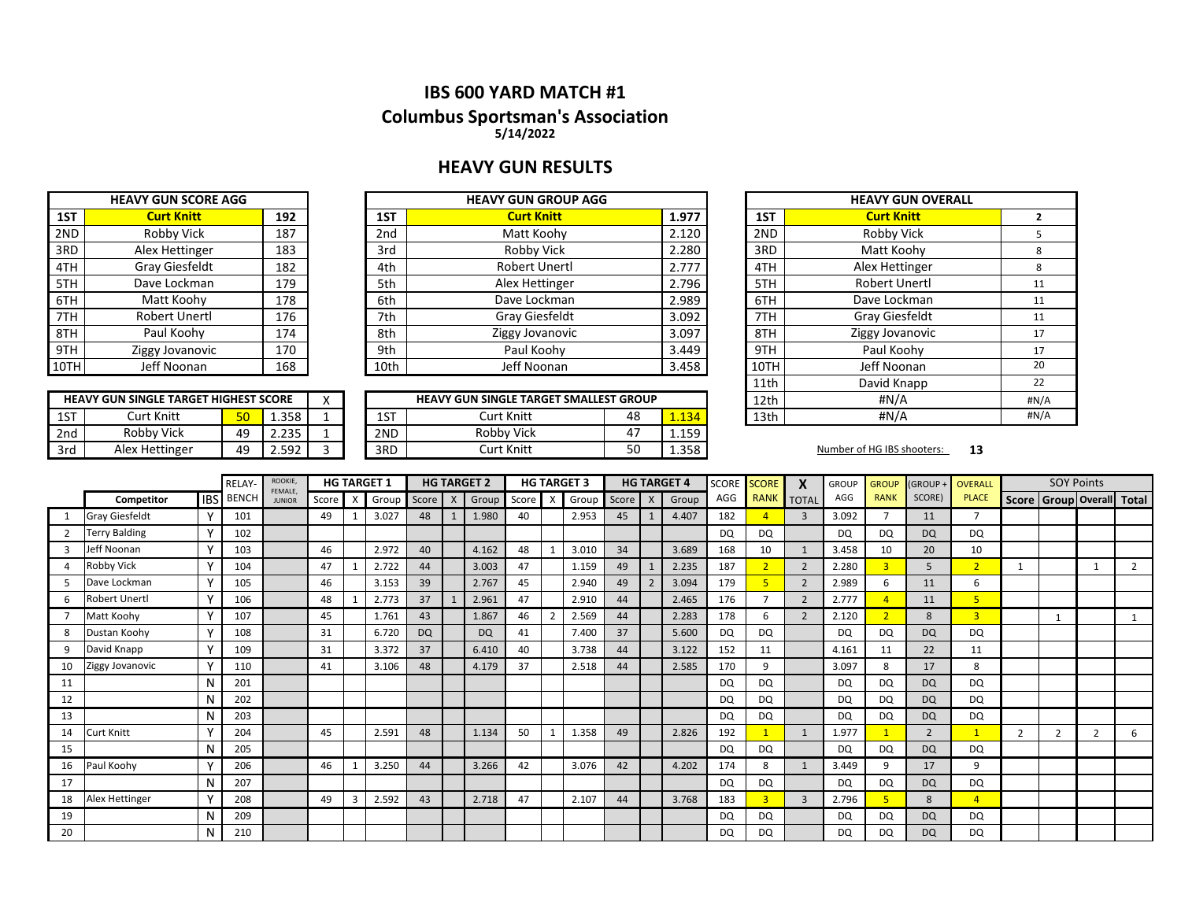## **HEAVY GUN RESULTS**

|      | <b>HEAVY GUN SCORE AGG</b> |     |
|------|----------------------------|-----|
| 1ST  | <b>Curt Knitt</b>          | 192 |
| 2ND  | Robby Vick                 | 187 |
| 3RD  | Alex Hettinger             | 183 |
| 4TH  | <b>Gray Giesfeldt</b>      | 182 |
| 5TH  | Dave Lockman               | 179 |
| 6TH  | Matt Koohy                 | 178 |
| 7TH  | <b>Robert Unertl</b>       | 176 |
| 8TH  | Paul Koohy                 | 174 |
| 9TH  | Ziggy Jovanovic            | 170 |
| 10TH | Jeff Noonan                | 168 |

|       | <b>HEAVY GUN GROUP AGG</b> |                 |     | <b>HEAVY GUN SCORE AGG</b> |      |
|-------|----------------------------|-----------------|-----|----------------------------|------|
| 1.977 | <b>Curt Knitt</b>          | 1ST             | 192 | <b>Curt Knitt</b>          | 1ST  |
| 2.120 | Matt Koohy                 | 2 <sub>nd</sub> | 187 | Robby Vick                 | 2ND  |
| 2.280 | Robby Vick                 | 3rd             | 183 | Alex Hettinger             | 3RD  |
| 2.777 | Robert Unertl              | 4th             | 182 | Gray Giesfeldt             | 4TH  |
| 2.796 | Alex Hettinger             | 5th             | 179 | Dave Lockman               | 5TH  |
| 2.989 | Dave Lockman               | 6th             | 178 | Matt Koohy                 | 6TH  |
| 3.092 | Gray Giesfeldt             | 7th             | 176 | Robert Unertl              | 7TH  |
| 3.097 | Ziggy Jovanovic            | 8th             | 174 | Paul Koohy                 | 8TH  |
| 3.449 | Paul Koohy                 | 9th             | 170 | Ziggy Jovanovic            | 9TH  |
| 3.458 | Jeff Noonan                | 10th            | 168 | Jeff Noonan                | 10TH |
|       |                            |                 |     |                            |      |

|     | <b>HEAVY GUN SINGLE TARGET HIGHEST SCORE</b> |                  |              |  |  | <b>HEAVY GUN SINGLE TARGET SMALLEST GROUP</b> |            | 12th | #N/A         |  |      |                            |    |  |
|-----|----------------------------------------------|------------------|--------------|--|--|-----------------------------------------------|------------|------|--------------|--|------|----------------------------|----|--|
| 1ST | Curt Knitt                                   | <u>τη.</u><br>bu | 1.358        |  |  | 1ST                                           | Curt Knitt | 48   | $-134$       |  | 13th | #N/A                       |    |  |
| 2nd | Robby Vick                                   | 49               | つつに<br>2.ZJ  |  |  | 2ND                                           | Robby Vick | 47   | 159<br>ᆂᆞᆂᇰᇰ |  |      |                            |    |  |
| 3rd | Alex Hettinger                               | 40               | 502<br>と・ココム |  |  | 3RD                                           | Curt Knitt | 50   | 1.358        |  |      | Number of HG IBS shooters: | 13 |  |

| <b>AVY GUN GROUP AGG</b>            |    |       |      | <b>HEAVY GUN OVERALL</b> |      |
|-------------------------------------|----|-------|------|--------------------------|------|
| <b>Curt Knitt</b>                   |    | 1.977 | 1ST  | <b>Curt Knitt</b>        | 2    |
| Matt Koohy                          |    | 2.120 | 2ND  | Robby Vick               | 5    |
| Robby Vick                          |    | 2.280 | 3RD  | Matt Koohy               | 8    |
| <b>Robert Unertl</b>                |    | 2.777 | 4TH  | Alex Hettinger           | 8    |
| Alex Hettinger                      |    | 2.796 | 5TH  | <b>Robert Unertl</b>     | 11   |
| Dave Lockman                        |    | 2.989 | 6TH  | Dave Lockman             | 11   |
| Gray Giesfeldt                      |    | 3.092 | 7TH  | Gray Giesfeldt           | 11   |
| Ziggy Jovanovic                     |    | 3.097 | 8TH  | Ziggy Jovanovic          | 17   |
| Paul Koohy                          |    | 3.449 | 9TH  | Paul Koohy               | 17   |
| Jeff Noonan                         |    | 3.458 | 10TH | Jeff Noonan              | 20   |
|                                     |    |       | 11th | David Knapp              | 22   |
| <b>SINGLE TARGET SMALLEST GROUP</b> |    |       | 12th | #N/A                     | #N/A |
| Curt Knitt                          | 48 | 1.134 | 13th | #N/A                     | #N/A |
|                                     |    |       |      |                          |      |

|              |                       |              | <b>RELAY</b> | ROOKIE,<br>FEMALE, |       |   | <b>HG TARGET 1</b> |           | <b>HG TARGET 2</b> |       |                | <b>HG TARGET 3</b> |       |              | <b>HG TARGET 4</b> | <b>SCORE</b> | <b>SCORE</b> | X              | <b>GROUP</b> | <b>GROUP</b>   | <b>GROUP</b>   | <b>OVERALL</b> | <b>SOY Points</b> |                |              |                                 |
|--------------|-----------------------|--------------|--------------|--------------------|-------|---|--------------------|-----------|--------------------|-------|----------------|--------------------|-------|--------------|--------------------|--------------|--------------|----------------|--------------|----------------|----------------|----------------|-------------------|----------------|--------------|---------------------------------|
|              | Competitor            | <b>IBS</b>   | <b>BENCH</b> | <b>JUNIOR</b>      | Score | X | Group              | Score X   | Group              | Score | -х             | Group              | Score | $\mathsf{X}$ | Group              | AGG          | <b>RANK</b>  | <b>TOTAL</b>   | AGG          | <b>RANK</b>    | SCORE)         | <b>PLACE</b>   |                   |                |              | Score   Group   Overall   Total |
| 1            | <b>Gray Giesfeldt</b> |              | 101          |                    | 49    |   | 3.027              | 48        | 1.980              | 40    |                | 2.953              | 45    |              | 4.407              | 182          |              | 3              | 3.092        |                | 11             |                |                   |                |              |                                 |
|              | <b>Terry Balding</b>  |              | 102          |                    |       |   |                    |           |                    |       |                |                    |       |              |                    | DQ           | <b>DQ</b>    |                | DQ           | <b>DQ</b>      | <b>DQ</b>      | DQ             |                   |                |              |                                 |
| $\mathbf{R}$ | Jeff Noonan           | $\mathbf{v}$ | 103          |                    | 46    |   | 2.972              | 40        | 4.162              | 48    |                | 3.010              | 34    |              | 3.689              | 168          | 10           |                | 3.458        | 10             | 20             | 10             |                   |                |              |                                 |
|              | <b>Robby Vick</b>     |              | 104          |                    | 47    |   | 2.722              | 44        | 3.003              | 47    |                | 1.159              | 49    |              | 2.235              | 187          |              | $\overline{2}$ | 2.280        | $\overline{3}$ | 5              | 2 <sup>1</sup> |                   |                | $\mathbf{1}$ | $\overline{2}$                  |
|              | Dave Lockman          |              | 105          |                    | 46    |   | 3.153              | 39        | 2.767              | 45    |                | 2.940              | 49    |              | 3.094              | 179          |              | $\overline{2}$ | 2.989        | 6              | 11             | 6              |                   |                |              |                                 |
|              | Robert Unertl         | $\mathbf{v}$ | 106          |                    | 48    |   | 2.773              | 37        | 2.961              | 47    |                | 2.910              | 44    |              | 2.465              | 176          |              | $\overline{2}$ | 2.777        |                | 11             | 5 <sup>1</sup> |                   |                |              |                                 |
|              | Matt Koohy            |              | 107          |                    | 45    |   | 1.761              | 43        | 1.867              | 46    | $\overline{2}$ | 2.569              | 44    |              | 2.283              | 178          | 6            | $\overline{2}$ | 2.120        | $\overline{2}$ | 8              | $\overline{3}$ |                   |                |              |                                 |
| 8            | Dustan Koohy          |              | 108          |                    | 31    |   | 6.720              | <b>DQ</b> | <b>DQ</b>          | 41    |                | 7.400              | 37    |              | 5.600              | DQ           | <b>DQ</b>    |                | DQ           | DQ             | <b>DQ</b>      | <b>DO</b>      |                   |                |              |                                 |
| 9            | David Knapp           | $\mathbf{v}$ | 109          |                    | 31    |   | 3.372              | 37        | 6.410              | 40    |                | 3.738              | 44    |              | 3.122              | 152          | 11           |                | 4.161        | 11             | 22             | 11             |                   |                |              |                                 |
| 10           | Ziggy Jovanovic       | $\mathbf{v}$ | 110          |                    | 41    |   | 3.106              | 48        | 4.179              | 37    |                | 2.518              | 44    |              | 2.585              | 170          | 9            |                | 3.097        | 8              | 17             | 8              |                   |                |              |                                 |
| 11           |                       | N            | 201          |                    |       |   |                    |           |                    |       |                |                    |       |              |                    | DQ           | <b>DQ</b>    |                | DQ           | DQ             | <b>DQ</b>      | <b>DO</b>      |                   |                |              |                                 |
| 12           |                       | N            | 202          |                    |       |   |                    |           |                    |       |                |                    |       |              |                    | <b>DQ</b>    | <b>DQ</b>    |                | <b>DQ</b>    | DQ             | <b>DQ</b>      | <b>DQ</b>      |                   |                |              |                                 |
| 13           |                       | N            | 203          |                    |       |   |                    |           |                    |       |                |                    |       |              |                    | <b>DQ</b>    | DQ           |                | <b>DQ</b>    | <b>DQ</b>      | <b>DQ</b>      | <b>DQ</b>      |                   |                |              |                                 |
| 14           | Curt Knitt            |              | 204          |                    | 45    |   | 2.591              | 48        | 1.134              | 50    |                | 1.358              | 49    |              | 2.826              | 192          |              | 1              | 1.977        |                | $\overline{2}$ |                |                   | $\overline{2}$ | 2            | 6                               |
| 15           |                       | N            | 205          |                    |       |   |                    |           |                    |       |                |                    |       |              |                    | <b>DQ</b>    | <b>DQ</b>    |                | <b>DQ</b>    | <b>DQ</b>      | <b>DQ</b>      | <b>DQ</b>      |                   |                |              |                                 |
| 16           | Paul Koohy            |              | 206          |                    | 46    |   | 3.250              | 44        | 3.266              | 42    |                | 3.076              | 42    |              | 4.202              | 174          | 8            | 1              | 3.449        | 9              | 17             | q              |                   |                |              |                                 |
| 17           |                       | N            | 207          |                    |       |   |                    |           |                    |       |                |                    |       |              |                    | DQ           | DQ           |                | DQ           | DQ             | <b>DQ</b>      | DQ             |                   |                |              |                                 |
| 18           | Alex Hettinger        |              | 208          |                    | 49    | 3 | 2.592              | 43        | 2.718              | 47    |                | 2.107              | 44    |              | 3.768              | 183          |              | $\overline{3}$ | 2.796        |                | 8              | $\overline{4}$ |                   |                |              |                                 |
| 19           |                       | N            | 209          |                    |       |   |                    |           |                    |       |                |                    |       |              |                    | <b>DQ</b>    | DQ           |                | DQ           | DQ             | <b>DQ</b>      | DQ             |                   |                |              |                                 |
| 20           |                       | N            | 210          |                    |       |   |                    |           |                    |       |                |                    |       |              |                    | DQ           | <b>DQ</b>    |                | DQ           | <b>DQ</b>      | <b>DQ</b>      | DQ             |                   |                |              |                                 |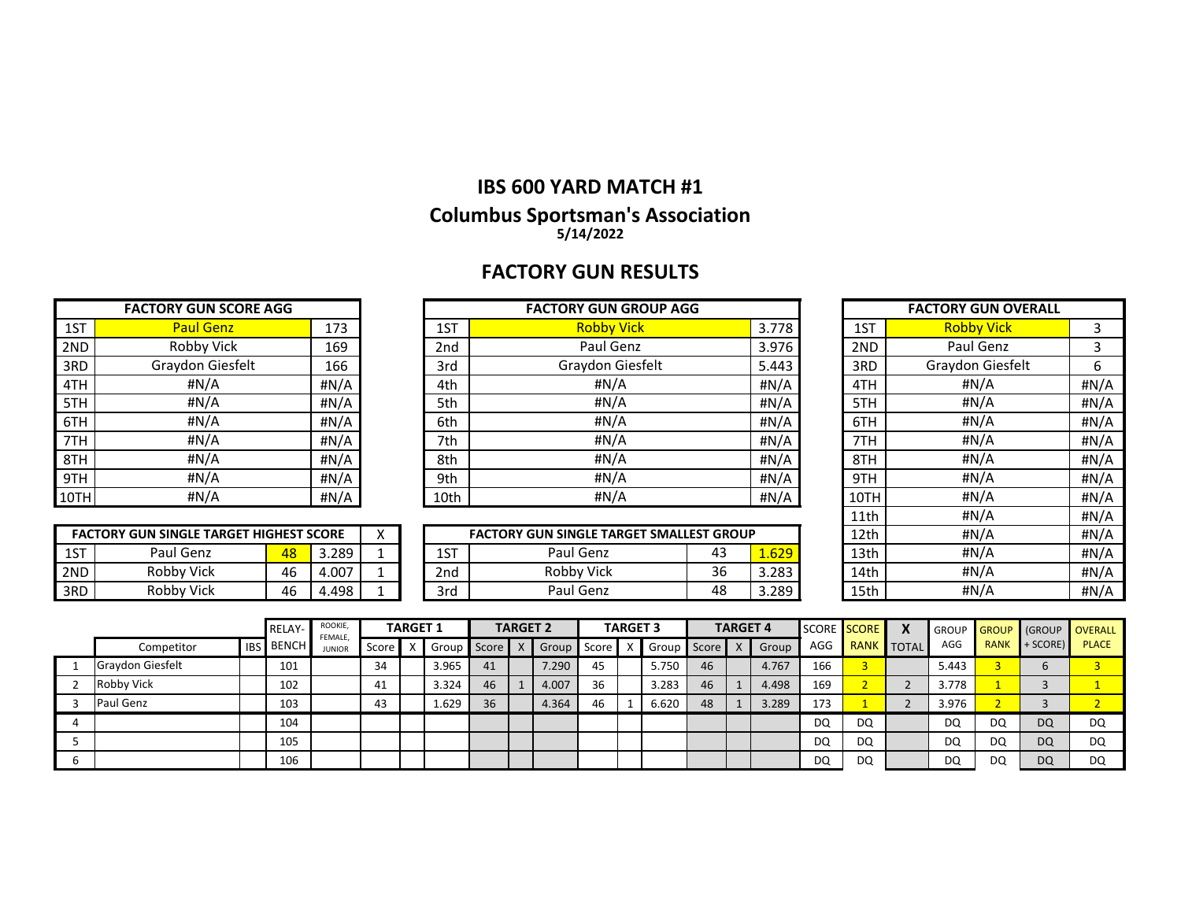# **FACTORY GUN RESULTS**

| <b>FACTORY GUN SCORE AGG</b> |                  |      |  |  |  |  |  |  |  |  |
|------------------------------|------------------|------|--|--|--|--|--|--|--|--|
| 1ST                          | <b>Paul Genz</b> | 173  |  |  |  |  |  |  |  |  |
| 2ND                          | Robby Vick       | 169  |  |  |  |  |  |  |  |  |
| 3RD                          | Graydon Giesfelt | 166  |  |  |  |  |  |  |  |  |
| 4TH                          | #N/A             | #N/A |  |  |  |  |  |  |  |  |
| 5TH                          | #N/A             | #N/A |  |  |  |  |  |  |  |  |
| 6TH                          | #N/A             | #N/A |  |  |  |  |  |  |  |  |
| 7TH                          | #N/A             | #N/A |  |  |  |  |  |  |  |  |
| 8TH                          | #N/A             | #N/A |  |  |  |  |  |  |  |  |
| 9TH                          | #N/A             | #N/A |  |  |  |  |  |  |  |  |
| l 10TI                       | #N/A             | #N/A |  |  |  |  |  |  |  |  |

| <b>FACTORY GUN SCORE AGG</b> |                  |      |      | <b>FACTORY GUN GROUP AGG</b> |       | <b>FACTORY GUN OVERALL</b> |                   |      |
|------------------------------|------------------|------|------|------------------------------|-------|----------------------------|-------------------|------|
| 1ST                          | <b>Paul Genz</b> | 173  | 1ST  | <b>Robby Vick</b>            | 3.778 | 1ST                        | <b>Robby Vick</b> |      |
| 2ND                          | Robby Vick       | 169  | 2nd  | Paul Genz                    | 3.976 | 2ND                        | Paul Genz         |      |
| 3RD                          | Graydon Giesfelt | 166  | 3rd  | Graydon Giesfelt             | 5.443 | 3RD                        | Graydon Giesfelt  | 6    |
| 4TH                          | #N/A             | #N/A | 4th  | #N/A                         | #N/A  | 4TH                        | #N/A              | #N/A |
| 5TH                          | #N/A             | #N/A | 5th  | #N/A                         | H N/A | 5TH                        | #N/A              | #N/A |
| 6TH                          | #N/A             | #N/A | 6th  | #N/A                         | H N/A | 6TH                        | #N/A              | #N/A |
| 7TH                          | #N/A             | #N/A | 7th  | #N/A                         | #N/A  | 7TH                        | #N/A              | #N/A |
| 8TH                          | #N/A             | #N/A | 8th  | #N/A                         | H N/A | 8TH                        | #N/A              | #N/A |
| 9TH                          | #N/A             | #N/A | 9th  | #N/A                         | #N/A  | 9TH                        | #N/A              | #N/A |
| 10TH                         | #N/A             | #N/A | 10th | #N/A                         | #N/A  | 10TH                       | #N/A              | #N/A |

| 1ST  | <b>Robby Vick</b> | 3    |
|------|-------------------|------|
| 2ND  | Paul Genz         | 3    |
| 3RD  | Graydon Giesfelt  | 6    |
| 4TH  | #N/A              | #N/A |
| 5TH  | #N/A              | #N/A |
| 6TH  | #N/A              | #N/A |
| 7TH  | #N/A              | #N/A |
| 8TH  | #N/A              | #N/A |
| 9TH  | #N/A              | #N/A |
| 10TH | #N/A              | #N/A |
| 11th | #N/A              | #N/A |
| 12th | #N/A              | #N/A |
| 13th | #N/A              | #N/A |
| 14th | #N/A              | #N/A |
| 15th | #N/A              | #N/A |

| <b>FACTORY GUN SINGLE TARGET HIGHEST SCORE</b> |            |    |       |  |  |  |  |  |  |  |
|------------------------------------------------|------------|----|-------|--|--|--|--|--|--|--|
| 1ST                                            | Paul Genz  | 48 | 3.289 |  |  |  |  |  |  |  |
| 2ND                                            | Robby Vick | 46 | 4.007 |  |  |  |  |  |  |  |
| I 3RD                                          | Robby Vick | 46 | 4 498 |  |  |  |  |  |  |  |

|     | <b>FACTORY GUN SINGLE TARGET HIGHEST SCORE</b> | $\lambda$ |       | <b>FACTORY GUN SINGLE TARGET SMALLEST GROUP</b> |             | 12th       | #N/A | #N/A           |      |      |      |
|-----|------------------------------------------------|-----------|-------|-------------------------------------------------|-------------|------------|------|----------------|------|------|------|
| 1ST | Paul Genz                                      | 48        | 3.289 |                                                 | $\sim$<br>∸ | Paul Genz  |      | $\sim$<br>.ozs | 13th | #N/A | #N/A |
| 2ND | <b>Robby Vick</b>                              | 46        | 4.007 |                                                 | 2nd         | Robby Vick | 36   | 3.283          | 14th | #N/A | #N/A |
| 3RD | Robby Vick                                     | 46        | .498  |                                                 | 3rc         | Paul Genz  | 48   | 3.289          | 15th | #N/A | #N/A |

|   |                         |            | RELAY-       | ROOKIE,<br>FEMALE. |       | <b>TARGET 1</b> |             |    | <b>TARGET 2</b> |       |       | <b>TARGET 3</b> |       |              | <b>TARGET 4</b> |       | SCORE SCORE |             | X            | <b>GROUP</b> |             | GROUP (GROUP OVERALL |              |
|---|-------------------------|------------|--------------|--------------------|-------|-----------------|-------------|----|-----------------|-------|-------|-----------------|-------|--------------|-----------------|-------|-------------|-------------|--------------|--------------|-------------|----------------------|--------------|
|   | Competitor              | <b>IBS</b> | <b>BENCH</b> | <b>JUNIOR</b>      | Score |                 | Group Score |    |                 | Group | Score |                 | Group | <b>Score</b> |                 | Group | AGG         | <b>RANK</b> | <b>TOTAL</b> | AGG          | <b>RANK</b> | + SCORE)             | <b>PLACE</b> |
|   | <b>Graydon Giesfelt</b> |            | 101          |                    | 34    |                 | 3.965       | 41 |                 | 7.290 | 45    |                 | 5.750 | 46           |                 | 4.767 | 166         |             |              | 5.443        |             |                      |              |
|   | <b>Robby Vick</b>       |            | 102          |                    | 41    |                 | 3.324       | 46 |                 | 4.007 | 36    |                 | 3.283 | 46           |                 | 4.498 | 169         |             |              | 3.778        |             |                      |              |
|   | Paul Genz               |            | 103          |                    | 43    |                 | 1.629       | 36 |                 | 4.364 | 46    |                 | 6.620 | 48           |                 | 3.289 | 173         |             |              | 3.976        |             |                      |              |
|   |                         |            | 104          |                    |       |                 |             |    |                 |       |       |                 |       |              |                 |       | <b>DQ</b>   | DQ          |              | DQ           | DQ          | DQ                   | DQ           |
|   |                         |            | 105          |                    |       |                 |             |    |                 |       |       |                 |       |              |                 |       | <b>DQ</b>   | DQ          |              | DQ           | DQ          | DQ                   | DQ           |
| b |                         |            | 106          |                    |       |                 |             |    |                 |       |       |                 |       |              |                 |       | DQ          | DQ          |              | DQ           | DQ          | DQ                   | DQ           |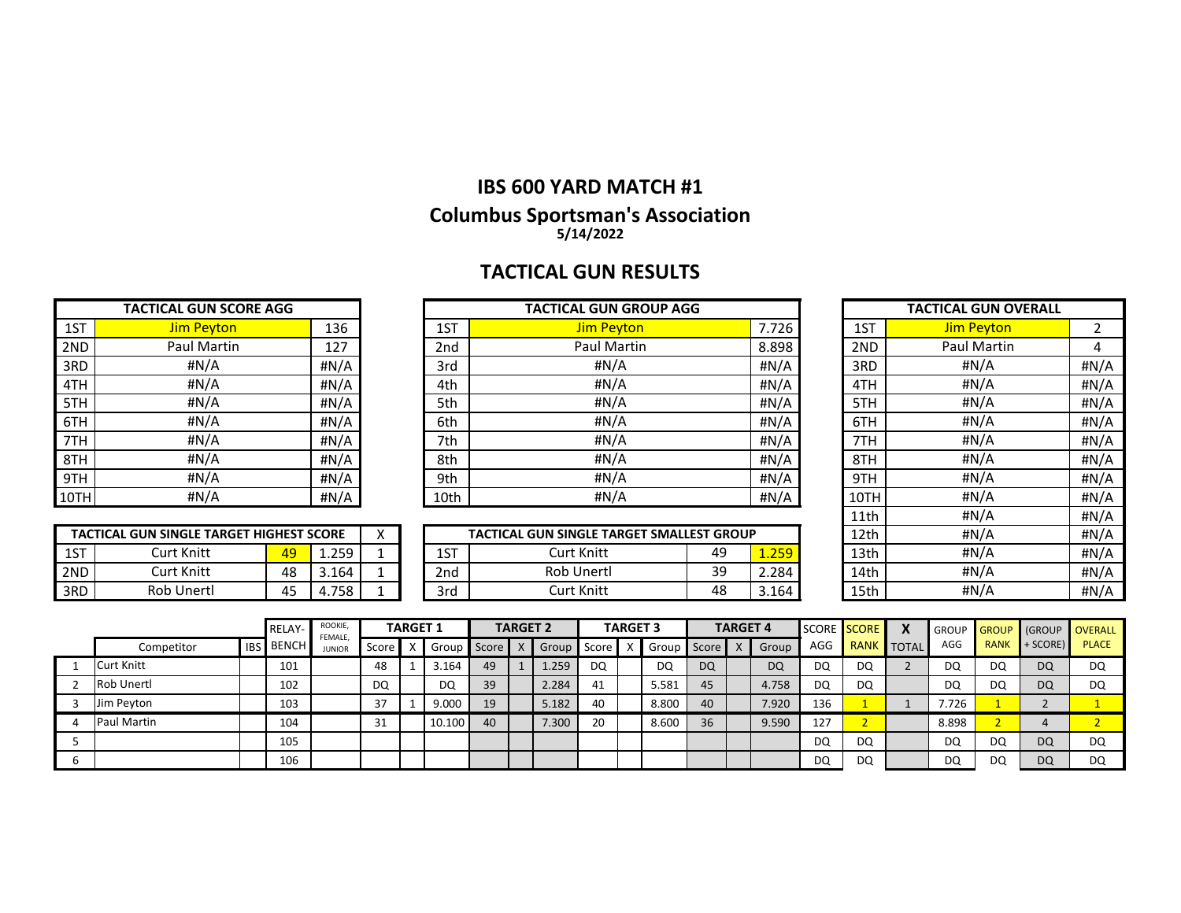# **TACTICAL GUN RESULTS**

|      | <b>TACTICAL GUN SCORE AGG</b> |      |
|------|-------------------------------|------|
| 1ST  | <b>Jim Peyton</b>             | 136  |
| 2ND  | <b>Paul Martin</b>            | 127  |
| 3RD  | #N/A                          | #N/A |
| 4TH  | #N/A                          | #N/A |
| 5TH  | #N/A                          | #N/A |
| 6TH  | #N/A                          | #N/A |
| 7TH  | #N/A                          | #N/A |
| 8TH  | #N/A                          | #N/A |
| 9TH  | #N/A                          | #N/A |
| 10TH | #N/A                          | #N/A |

|      | <b>TACTICAL GUN SCORE AGG</b> |      |      | <b>TACTICAL GUN GROUP AGG</b> |       | <b>TACTICAL GUN OVERALL</b> |                   |      |  |  |
|------|-------------------------------|------|------|-------------------------------|-------|-----------------------------|-------------------|------|--|--|
| 1ST  | <b>Jim Peyton</b>             | 136  | 1ST  | <b>Jim Peyton</b>             | 7.726 | 1ST                         | <b>Jim Peyton</b> |      |  |  |
| 2ND  | <b>Paul Martin</b>            | 127  | 2nd  | <b>Paul Martin</b>            | 8.898 | 2ND                         | Paul Martin       |      |  |  |
| 3RD  | #N/A                          | #N/A | 3rd  | #N/A                          | #N/A  | 3RD                         | #N/A              | #N/A |  |  |
| 4TH  | #N/A                          | #N/A | 4th  | #N/A                          | #N/A  | 4TH                         | #N/A              | #N/A |  |  |
| 5TH  | #N/A                          | #N/A | 5th  | #N/A                          | #N/A  | 5TH                         | #N/A              | #N/A |  |  |
| 6TH  | #N/A                          | #N/A | 6th  | #N/A                          | H N/A | 6TH                         | # $N/A$           | #N/A |  |  |
| 7TH  | #N/A                          | #N/A | 7th  | #N/A                          | #N/A  | 7TH                         | #N/A              | #N/A |  |  |
| 8TH  | #N/A                          | #N/A | 8th  | #N/A                          | #N/A  | 8TH                         | #N/A              | #N/A |  |  |
| 9TH  | #N/A                          | #N/A | 9th  | #N/A                          | #N/A  | 9TH                         | #N/A              | #N/A |  |  |
| 10TH | #N/A                          | #N/A | 10th | # $N/A$                       | #N/A  | 10TH                        | #N/A              | #N/A |  |  |

| 1ST  | <b>Jim Peyton</b>  | 2    |
|------|--------------------|------|
| 2ND  | <b>Paul Martin</b> | 4    |
| 3RD  | #N/A               | #N/A |
| 4TH  | #N/A               | #N/A |
| 5TH  | #N/A               | #N/A |
| 6TH  | #N/A               | #N/A |
| 7TH  | #N/A               | #N/A |
| 8TH  | #N/A               | #N/A |
| 9TH  | #N/A               | #N/A |
| 10TH | #N/A               | #N/A |
| 11th | #N/A               | #N/A |
| 12th | #N/A               | #N/A |
| 13th | #N/A               | #N/A |
| 14th | #N/A               | #N/A |
| 15th | #N/A               | #N/A |

| TACTICAL GUN SINGLE TARGET HIGHEST SCORE |            |                 |       |  |  |  |  |  |  |  |
|------------------------------------------|------------|-----------------|-------|--|--|--|--|--|--|--|
| 1 S T                                    | Curt Knitt | $\overline{49}$ | 1 259 |  |  |  |  |  |  |  |
| 2ND                                      | Curt Knitt | 48              | 3.164 |  |  |  |  |  |  |  |
| 3RD.                                     | Rob Unertl | 45              |       |  |  |  |  |  |  |  |

|     | . GUN SINGLE TARGET HIGHEST SCORE<br><b>TACTICAL</b> |              |              | $\lambda$ |             | L GUN SINGLE TARGET SMALLEST GROUP<br><b>TACTICAL</b> |          |            | 12th | #N/A | #N/A |
|-----|------------------------------------------------------|--------------|--------------|-----------|-------------|-------------------------------------------------------|----------|------------|------|------|------|
| 1ST | Lurt Knitt                                           | <u>40</u>    | 250<br>----- |           | $\sim$<br>∸ | Knitt<br>Jur+                                         | 49       | סבל<br>--- | 13th | #N/A | #N/A |
| 2ND | Curt Knitt                                           | 48           | 3.164        |           | 2nd         | <b>Rob Unertl</b>                                     | ąq<br>-- | 4.284      | 14th | #N/A | #N/A |
| 3RD | <b>Rob Unertl</b>                                    | $\sim$<br>⊿- | .758         |           | 3rc         | Knitt<br>Jur+                                         | 48       | 5.164      | 15th | #N/A | #N/A |

|   |                   |            | <b>RELAY-</b> | ROOKIE,<br><b>FEMALE</b> |         | <b>TARGET 1</b> |        |           | <b>TARGET 2</b> |       |       | <b>TARGET 3</b> |       |       | <b>TARGET 4</b> |           | SCORE SCORE |                   | X | <b>GROUP</b> |             | GROUP GROUP OVERALL |              |
|---|-------------------|------------|---------------|--------------------------|---------|-----------------|--------|-----------|-----------------|-------|-------|-----------------|-------|-------|-----------------|-----------|-------------|-------------------|---|--------------|-------------|---------------------|--------------|
|   | Competitor        | <b>IBS</b> | . I BENCH '   | <b>JUNIOR</b>            | Score l |                 | Group  | J Score L |                 | Group | Score |                 | Group | Score |                 | Group     | AGG         | <b>RANK TOTAL</b> |   | AGG          | <b>RANK</b> | $+$ SCORE)          | <b>PLACE</b> |
|   | <b>Curt Knitt</b> |            | 101           |                          | 48      |                 | .164   | 49        |                 | 1.259 | DQ    |                 | DQ    | DQ    |                 | <b>DQ</b> | DQ          | DQ                |   | DQ           | DQ          | <b>DQ</b>           | DQ           |
|   | <b>Rob Unertl</b> |            | 102           |                          | DQ      |                 | DQ     | 39        |                 | 2.284 | 41    |                 | 5.581 | 45    |                 | 4.758     | DQ          | DQ                |   | DQ           | DQ          | <b>DQ</b>           | DQ           |
|   | Jim Peyton        |            | 103           |                          | 37      |                 | 9.000  | 19        |                 | 5.182 | 40    |                 | 8.800 | 40    |                 | 7.920     | 136         |                   |   | 7.726        |             |                     |              |
|   | Paul Martin       |            | 104           |                          | 31      |                 | 10.100 | 40        |                 | 7.300 | 20    |                 | 8.600 | 36    |                 | 9.590     | 127         |                   |   | 8.898        |             |                     |              |
|   |                   |            | 105           |                          |         |                 |        |           |                 |       |       |                 |       |       |                 |           | DQ          | DQ                |   | DQ           | DQ          | <b>DQ</b>           | DQ           |
| b |                   |            | 106           |                          |         |                 |        |           |                 |       |       |                 |       |       |                 |           | DQ          | DQ                |   | DQ           | DQ          | <b>DQ</b>           | DQ           |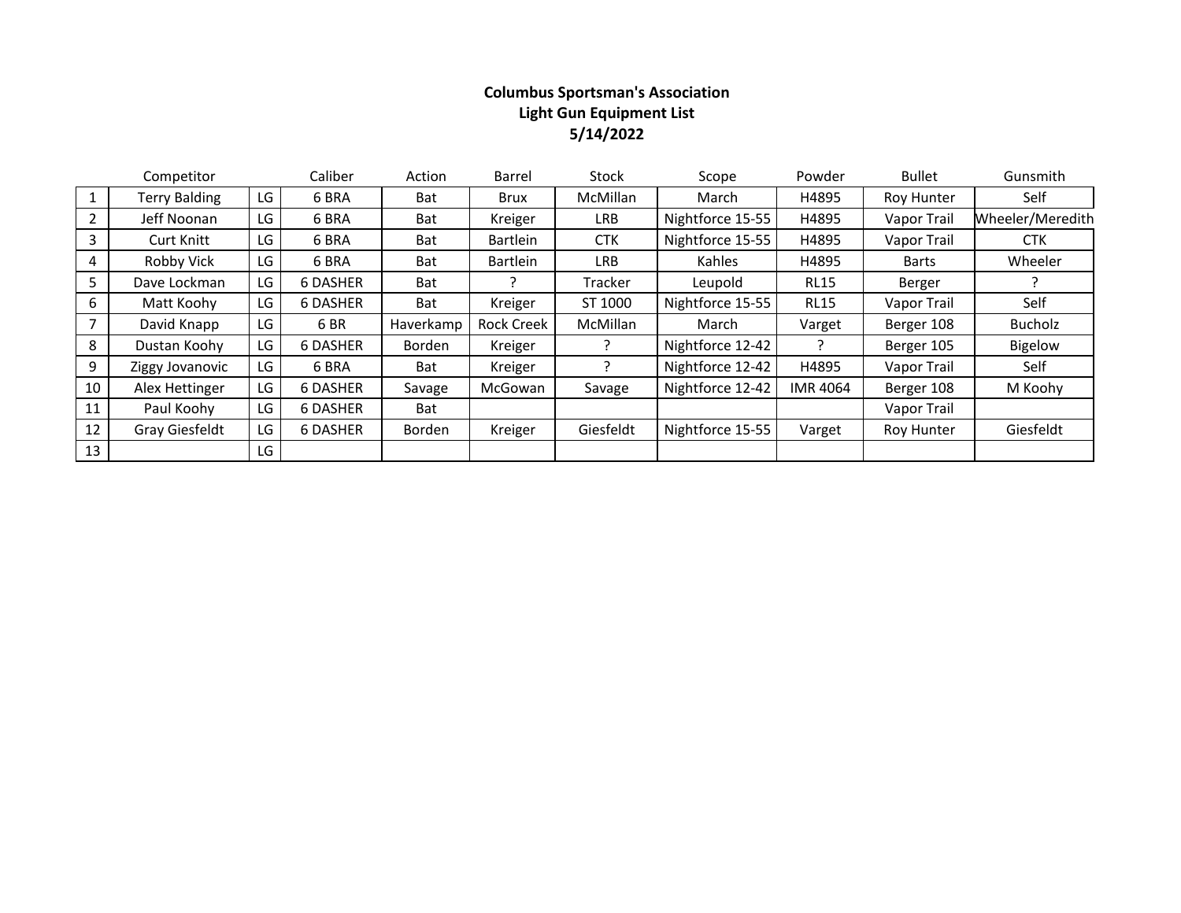## **Columbus Sportsman's Association Light Gun Equipment List 5/14/2022**

|                | Competitor           |    | Caliber         | Action    | <b>Barrel</b>     | Stock      | Scope            | Powder          | <b>Bullet</b> | Gunsmith         |
|----------------|----------------------|----|-----------------|-----------|-------------------|------------|------------------|-----------------|---------------|------------------|
|                | <b>Terry Balding</b> | LG | 6 BRA           | Bat       | Brux              | McMillan   | March            | H4895           | Roy Hunter    | Self             |
| 2              | Jeff Noonan          | LG | 6 BRA           | Bat       | Kreiger           | <b>LRB</b> | Nightforce 15-55 | H4895           | Vapor Trail   | Wheeler/Meredith |
| 3              | <b>Curt Knitt</b>    | LG | 6 BRA           | Bat       | <b>Bartlein</b>   | <b>CTK</b> | Nightforce 15-55 | H4895           | Vapor Trail   | <b>CTK</b>       |
| 4              | Robby Vick           | LG | 6 BRA           | Bat       | <b>Bartlein</b>   | <b>LRB</b> | Kahles           | H4895           | <b>Barts</b>  | Wheeler          |
| 5              | Dave Lockman         | LG | <b>6 DASHER</b> | Bat       |                   | Tracker    | Leupold          | <b>RL15</b>     | Berger        |                  |
| 6              | Matt Koohy           | LG | <b>6 DASHER</b> | Bat       | Kreiger           | ST 1000    | Nightforce 15-55 | <b>RL15</b>     | Vapor Trail   | Self             |
| $\overline{7}$ | David Knapp          | LG | 6 BR            | Haverkamp | <b>Rock Creek</b> | McMillan   | March            | Varget          | Berger 108    | Bucholz          |
| 8              | Dustan Koohy         | LG | <b>6 DASHER</b> | Borden    | Kreiger           |            | Nightforce 12-42 |                 | Berger 105    | Bigelow          |
| 9              | Ziggy Jovanovic      | LG | 6 BRA           | Bat       | Kreiger           |            | Nightforce 12-42 | H4895           | Vapor Trail   | Self             |
| 10             | Alex Hettinger       | LG | <b>6 DASHER</b> | Savage    | McGowan           | Savage     | Nightforce 12-42 | <b>IMR 4064</b> | Berger 108    | M Koohy          |
| 11             | Paul Koohy           | LG | <b>6 DASHER</b> | Bat       |                   |            |                  |                 | Vapor Trail   |                  |
| 12             | Gray Giesfeldt       | LG | <b>6 DASHER</b> | Borden    | Kreiger           | Giesfeldt  | Nightforce 15-55 | Varget          | Roy Hunter    | Giesfeldt        |
| 13             |                      | LG |                 |           |                   |            |                  |                 |               |                  |